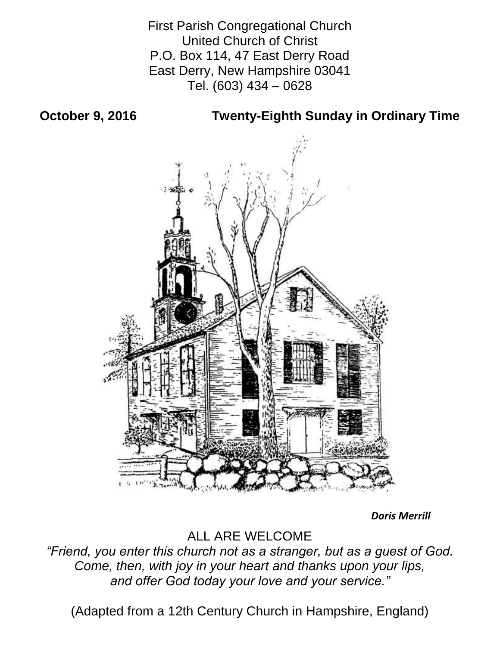First Parish Congregational Church United Church of Christ P.O. Box 114, 47 East Derry Road East Derry, New Hampshire 03041 Tel. (603) 434 – 0628

**October 9, 2016 Twenty-Eighth Sunday in Ordinary Time**



*Doris Merrill*

ALL ARE WELCOME

*"Friend, you enter this church not as a stranger, but as a guest of God. Come, then, with joy in your heart and thanks upon your lips, and offer God today your love and your service."*

(Adapted from a 12th Century Church in Hampshire, England)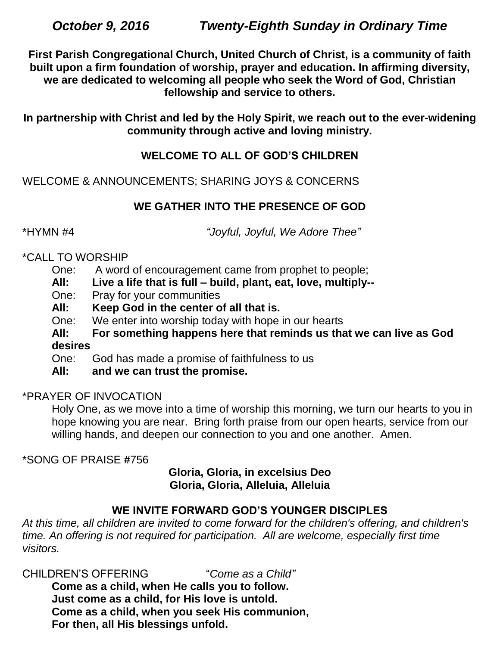**First Parish Congregational Church, United Church of Christ, is a community of faith built upon a firm foundation of worship, prayer and education. In affirming diversity, we are dedicated to welcoming all people who seek the Word of God, Christian fellowship and service to others.**

**In partnership with Christ and led by the Holy Spirit, we reach out to the ever-widening community through active and loving ministry.**

# **WELCOME TO ALL OF GOD'S CHILDREN**

WELCOME & ANNOUNCEMENTS; SHARING JOYS & CONCERNS

# **WE GATHER INTO THE PRESENCE OF GOD**

\*HYMN #4 *"Joyful, Joyful, We Adore Thee"*

# \*CALL TO WORSHIP

- One: A word of encouragement came from prophet to people;
- **All: Live a life that is full – build, plant, eat, love, multiply--**
- One: Pray for your communities
- **All: Keep God in the center of all that is.**
- One: We enter into worship today with hope in our hearts
- **All: For something happens here that reminds us that we can live as God desires**
- One: God has made a promise of faithfulness to us
- **All: and we can trust the promise.**

# \*PRAYER OF INVOCATION

Holy One, as we move into a time of worship this morning, we turn our hearts to you in hope knowing you are near. Bring forth praise from our open hearts, service from our willing hands, and deepen our connection to you and one another. Amen.

\*SONG OF PRAISE **#**756

### **Gloria, Gloria, in excelsius Deo Gloria, Gloria, Alleluia, Alleluia**

# **WE INVITE FORWARD GOD'S YOUNGER DISCIPLES**

*At this time, all children are invited to come forward for the children's offering, and children's time. An offering is not required for participation. All are welcome, especially first time visitors.*

CHILDREN'S OFFERING "*Come as a Child"*

**Come as a child, when He calls you to follow. Just come as a child, for His love is untold. Come as a child, when you seek His communion, For then, all His blessings unfold.**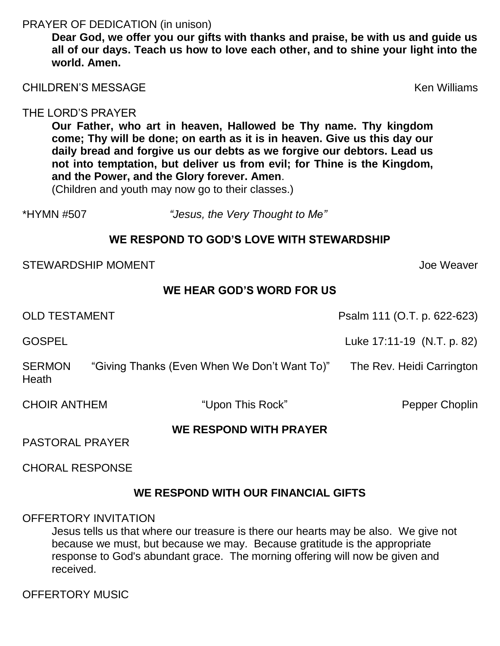#### PRAYER OF DEDICATION (in unison)

**Dear God, we offer you our gifts with thanks and praise, be with us and guide us all of our days. Teach us how to love each other, and to shine your light into the world. Amen.**

CHILDREN'S MESSAGE Ken Williams

#### THE LORD'S PRAYER

**Our Father, who art in heaven, Hallowed be Thy name. Thy kingdom come; Thy will be done; on earth as it is in heaven. Give us this day our daily bread and forgive us our debts as we forgive our debtors. Lead us not into temptation, but deliver us from evil; for Thine is the Kingdom, and the Power, and the Glory forever. Amen**.

(Children and youth may now go to their classes.)

\*HYMN #507 *"Jesus, the Very Thought to Me"*

### **WE RESPOND TO GOD'S LOVE WITH STEWARDSHIP**

STEWARDSHIP MOMENT And According the Measurement of the United STEWARDSHIP MOMENT

#### **WE HEAR GOD'S WORD FOR US**

OLD TESTAMENT Psalm 111 (O.T. p. 622-623)

GOSPEL **Luke 17:11-19** (N.T. p. 82)

SERMON "Giving Thanks (Even When We Don't Want To)" The Rev. Heidi Carrington Heath

CHOIR ANTHEM "Upon This Rock" Pepper Choplin

### **WE RESPOND WITH PRAYER**

PASTORAL PRAYER

CHORAL RESPONSE

### **WE RESPOND WITH OUR FINANCIAL GIFTS**

#### OFFERTORY INVITATION

Jesus tells us that where our treasure is there our hearts may be also. We give not because we must, but because we may. Because gratitude is the appropriate response to God's abundant grace. The morning offering will now be given and received.

OFFERTORY MUSIC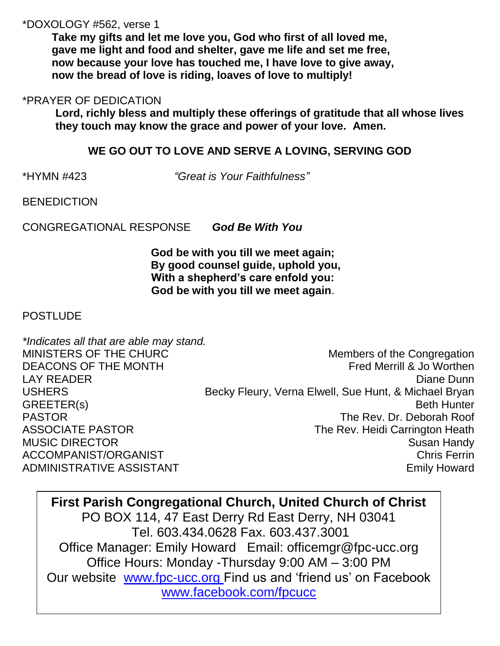#### \*DOXOLOGY #562, verse 1

**Take my gifts and let me love you, God who first of all loved me, gave me light and food and shelter, gave me life and set me free, now because your love has touched me, I have love to give away, now the bread of love is riding, loaves of love to multiply!**

#### \*PRAYER OF DEDICATION

**Lord, richly bless and multiply these offerings of gratitude that all whose lives they touch may know the grace and power of your love. Amen.**

### **WE GO OUT TO LOVE AND SERVE A LOVING, SERVING GOD**

\*HYMN #423 *"Great is Your Faithfulness"*

**BENEDICTION** 

CONGREGATIONAL RESPONSE *God Be With You*

**God be with you till we meet again; By good counsel guide, uphold you, With a shepherd's care enfold you: God be with you till we meet again**.

### **POSTLUDE**

*\*Indicates all that are able may stand.* MINISTERS OF THE CHURC Members of the Congregation DEACONS OF THE MONTH **FREMONTH EXAMPLE 20** Fred Merrill & Jo Worthen LAY READER **Diane Dunn** USHERS Becky Fleury, Verna Elwell, Sue Hunt, & Michael Bryan GREETER(s) Beth Hunter PASTOR The Rev. Dr. Deborah Roof ASSOCIATE PASTOR **The Rev. Heidi Carrington Heath** MUSIC DIRECTOR Susan Handy ACCOMPANIST/ORGANIST Chris Ferrin ADMINISTRATIVE ASSISTANT AND THE SERVICE OF STATISTICS AND THE EMILY Howard

**First Parish Congregational Church, United Church of Christ** PO BOX 114, 47 East Derry Rd East Derry, NH 03041 Tel. 603.434.0628 Fax. 603.437.3001 Office Manager: Emily Howard Email: officemgr@fpc-ucc.org Office Hours: Monday -Thursday 9:00 AM – 3:00 PM Our website [www.fpc-ucc.org](http://www.fpc-ucc.org/) Find us and 'friend us' on Facebook [www.facebook.com/fpcucc](http://www.facebook.com/fpcucc)